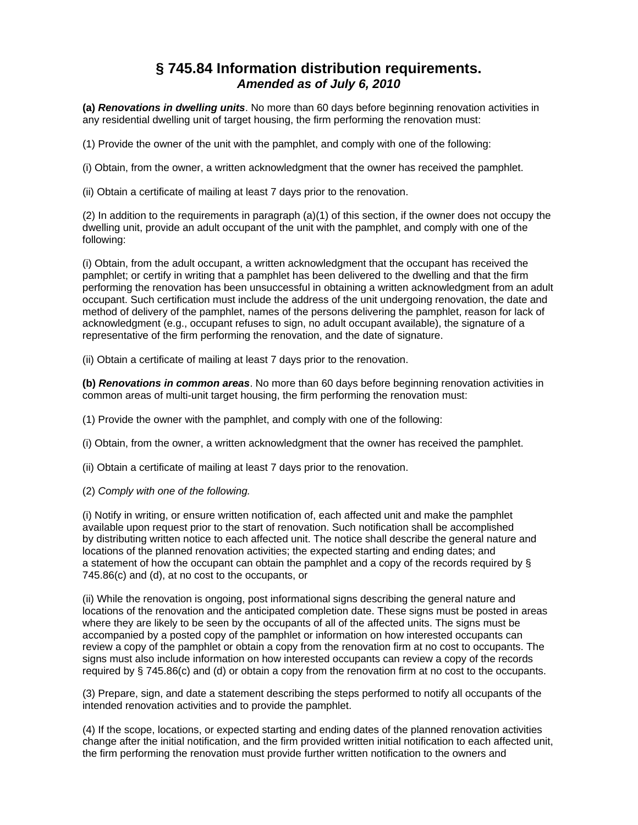## **§ 745.84 Information distribution requirements.**  *Amended as of July 6, 2010*

**(a)** *Renovations in dwelling units*. No more than 60 days before beginning renovation activities in any residential dwelling unit of target housing, the firm performing the renovation must:

(1) Provide the owner of the unit with the pamphlet, and comply with one of the following:

(i) Obtain, from the owner, a written acknowledgment that the owner has received the pamphlet.

(ii) Obtain a certificate of mailing at least 7 days prior to the renovation.

(2) In addition to the requirements in paragraph (a)(1) of this section, if the owner does not occupy the dwelling unit, provide an adult occupant of the unit with the pamphlet, and comply with one of the following:

(i) Obtain, from the adult occupant, a written acknowledgment that the occupant has received the pamphlet; or certify in writing that a pamphlet has been delivered to the dwelling and that the firm performing the renovation has been unsuccessful in obtaining a written acknowledgment from an adult occupant. Such certification must include the address of the unit undergoing renovation, the date and method of delivery of the pamphlet, names of the persons delivering the pamphlet, reason for lack of acknowledgment (e.g., occupant refuses to sign, no adult occupant available), the signature of a representative of the firm performing the renovation, and the date of signature.

(ii) Obtain a certificate of mailing at least 7 days prior to the renovation.

**(b)** *Renovations in common areas*. No more than 60 days before beginning renovation activities in common areas of multi-unit target housing, the firm performing the renovation must:

(1) Provide the owner with the pamphlet, and comply with one of the following:

(i) Obtain, from the owner, a written acknowledgment that the owner has received the pamphlet.

(ii) Obtain a certificate of mailing at least 7 days prior to the renovation.

(2) *Comply with one of the following.* 

(i) Notify in writing, or ensure written notification of, each affected unit and make the pamphlet available upon request prior to the start of renovation. Such notification shall be accomplished by distributing written notice to each affected unit. The notice shall describe the general nature and locations of the planned renovation activities; the expected starting and ending dates; and a statement of how the occupant can obtain the pamphlet and a copy of the records required by § 745.86(c) and (d), at no cost to the occupants, or

(ii) While the renovation is ongoing, post informational signs describing the general nature and locations of the renovation and the anticipated completion date. These signs must be posted in areas where they are likely to be seen by the occupants of all of the affected units. The signs must be accompanied by a posted copy of the pamphlet or information on how interested occupants can review a copy of the pamphlet or obtain a copy from the renovation firm at no cost to occupants. The signs must also include information on how interested occupants can review a copy of the records required by § 745.86(c) and (d) or obtain a copy from the renovation firm at no cost to the occupants.

(3) Prepare, sign, and date a statement describing the steps performed to notify all occupants of the intended renovation activities and to provide the pamphlet.

(4) If the scope, locations, or expected starting and ending dates of the planned renovation activities change after the initial notification, and the firm provided written initial notification to each affected unit, the firm performing the renovation must provide further written notification to the owners and